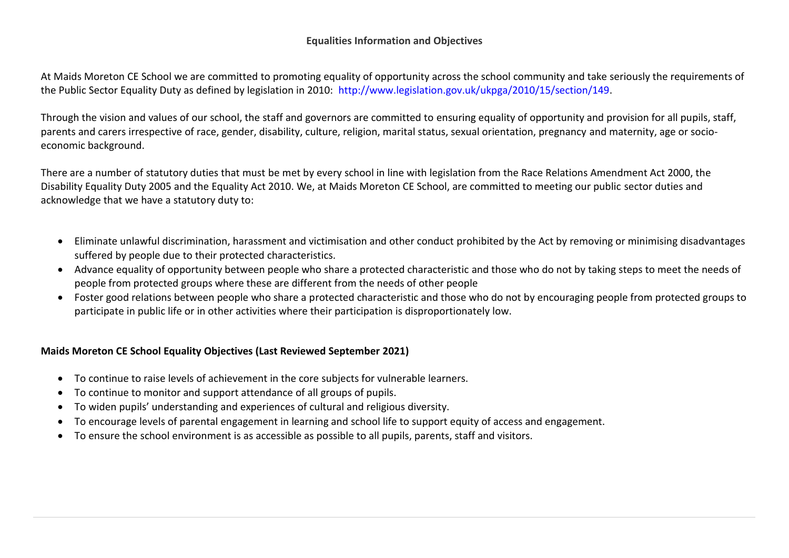## **Equalities Information and Objectives**

At Maids Moreton CE School we are committed to promoting equality of opportunity across the school community and take seriously the requirements of the Public Sector Equality Duty as defined by legislation in 2010: [http://www.legislation.gov.uk/ukpga/2010/15/section/149.](http://www.legislation.gov.uk/ukpga/2010/15/section/149)

Through the vision and values of our school, the staff and governors are committed to ensuring equality of opportunity and provision for all pupils, staff, parents and carers irrespective of race, gender, disability, culture, religion, marital status, sexual orientation, pregnancy and maternity, age or socioeconomic background.

There are a number of statutory duties that must be met by every school in line with legislation from the Race Relations Amendment Act 2000, the Disability Equality Duty 2005 and the Equality Act 2010. We, at Maids Moreton CE School, are committed to meeting our public sector duties and acknowledge that we have a statutory duty to:

- Eliminate unlawful discrimination, harassment and victimisation and other conduct prohibited by the Act by removing or minimising disadvantages suffered by people due to their protected characteristics.
- Advance equality of opportunity between people who share a protected characteristic and those who do not by taking steps to meet the needs of people from protected groups where these are different from the needs of other people
- Foster good relations between people who share a protected characteristic and those who do not by encouraging people from protected groups to participate in public life or in other activities where their participation is disproportionately low.

## **Maids Moreton CE School Equality Objectives (Last Reviewed September 2021)**

- To continue to raise levels of achievement in the core subjects for vulnerable learners.
- To continue to monitor and support attendance of all groups of pupils.
- To widen pupils' understanding and experiences of cultural and religious diversity.
- To encourage levels of parental engagement in learning and school life to support equity of access and engagement.
- To ensure the school environment is as accessible as possible to all pupils, parents, staff and visitors.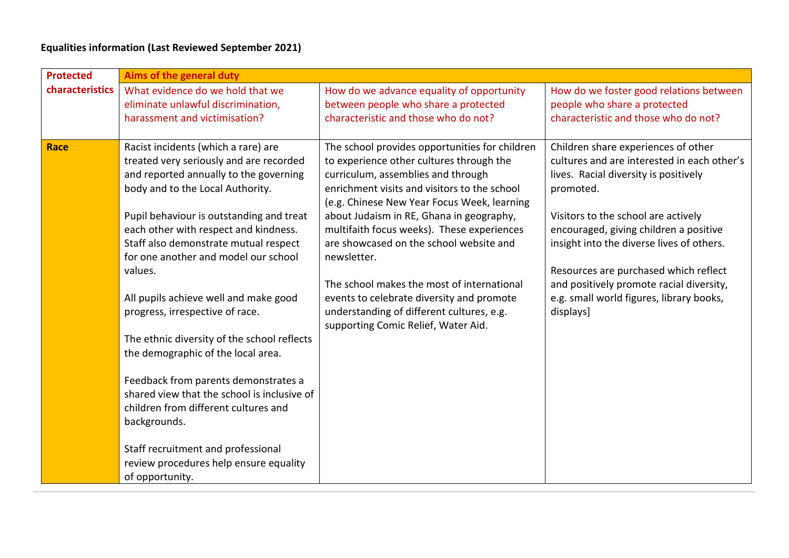## **Equalities information (Last Reviewed September 2021)**

| <b>Protected</b> | Aims of the general duty                                                                                                                                                                                 |                                                                                                                                                                                                                                                                             |                                                                                                                                                                                 |  |
|------------------|----------------------------------------------------------------------------------------------------------------------------------------------------------------------------------------------------------|-----------------------------------------------------------------------------------------------------------------------------------------------------------------------------------------------------------------------------------------------------------------------------|---------------------------------------------------------------------------------------------------------------------------------------------------------------------------------|--|
| characteristics  | What evidence do we hold that we<br>eliminate unlawful discrimination,<br>harassment and victimisation?                                                                                                  | How do we advance equality of opportunity<br>between people who share a protected<br>characteristic and those who do not?                                                                                                                                                   | How do we foster good relations between<br>people who share a protected<br>characteristic and those who do not?                                                                 |  |
| Race             | Racist incidents (which a rare) are<br>treated very seriously and are recorded<br>and reported annually to the governing<br>body and to the Local Authority.<br>Pupil behaviour is outstanding and treat | The school provides opportunities for children<br>to experience other cultures through the<br>curriculum, assemblies and through<br>enrichment visits and visitors to the school<br>(e.g. Chinese New Year Focus Week, learning<br>about Judaism in RE, Ghana in geography, | Children share experiences of other<br>cultures and are interested in each other's<br>lives. Racial diversity is positively<br>promoted.<br>Visitors to the school are actively |  |
|                  | each other with respect and kindness.<br>Staff also demonstrate mutual respect<br>for one another and model our school<br>values.                                                                        | multifaith focus weeks). These experiences<br>are showcased on the school website and<br>newsletter.                                                                                                                                                                        | encouraged, giving children a positive<br>insight into the diverse lives of others.<br>Resources are purchased which reflect                                                    |  |
|                  | All pupils achieve well and make good<br>progress, irrespective of race.                                                                                                                                 | The school makes the most of international<br>events to celebrate diversity and promote<br>understanding of different cultures, e.g.<br>supporting Comic Relief, Water Aid.                                                                                                 | and positively promote racial diversity,<br>e.g. small world figures, library books,<br>displays]                                                                               |  |
|                  | The ethnic diversity of the school reflects<br>the demographic of the local area.                                                                                                                        |                                                                                                                                                                                                                                                                             |                                                                                                                                                                                 |  |
|                  | Feedback from parents demonstrates a<br>shared view that the school is inclusive of<br>children from different cultures and<br>backgrounds.                                                              |                                                                                                                                                                                                                                                                             |                                                                                                                                                                                 |  |
|                  | Staff recruitment and professional<br>review procedures help ensure equality<br>of opportunity.                                                                                                          |                                                                                                                                                                                                                                                                             |                                                                                                                                                                                 |  |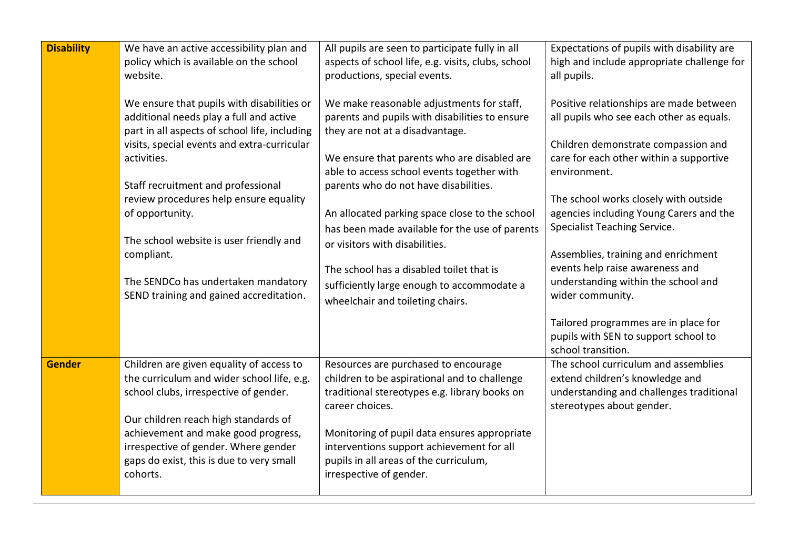| <b>Disability</b> | We have an active accessibility plan and<br>policy which is available on the school<br>website.<br>We ensure that pupils with disabilities or<br>additional needs play a full and active<br>part in all aspects of school life, including<br>visits, special events and extra-curricular<br>activities.<br>Staff recruitment and professional<br>review procedures help ensure equality<br>of opportunity.<br>The school website is user friendly and<br>compliant.<br>The SENDCo has undertaken mandatory<br>SEND training and gained accreditation. | All pupils are seen to participate fully in all<br>aspects of school life, e.g. visits, clubs, school<br>productions, special events.<br>We make reasonable adjustments for staff,<br>parents and pupils with disabilities to ensure<br>they are not at a disadvantage.<br>We ensure that parents who are disabled are<br>able to access school events together with<br>parents who do not have disabilities.<br>An allocated parking space close to the school<br>has been made available for the use of parents<br>or visitors with disabilities.<br>The school has a disabled toilet that is<br>sufficiently large enough to accommodate a<br>wheelchair and toileting chairs. | Expectations of pupils with disability are<br>high and include appropriate challenge for<br>all pupils.<br>Positive relationships are made between<br>all pupils who see each other as equals.<br>Children demonstrate compassion and<br>care for each other within a supportive<br>environment.<br>The school works closely with outside<br>agencies including Young Carers and the<br><b>Specialist Teaching Service.</b><br>Assemblies, training and enrichment<br>events help raise awareness and<br>understanding within the school and<br>wider community.<br>Tailored programmes are in place for<br>pupils with SEN to support school to<br>school transition. |
|-------------------|-------------------------------------------------------------------------------------------------------------------------------------------------------------------------------------------------------------------------------------------------------------------------------------------------------------------------------------------------------------------------------------------------------------------------------------------------------------------------------------------------------------------------------------------------------|-----------------------------------------------------------------------------------------------------------------------------------------------------------------------------------------------------------------------------------------------------------------------------------------------------------------------------------------------------------------------------------------------------------------------------------------------------------------------------------------------------------------------------------------------------------------------------------------------------------------------------------------------------------------------------------|------------------------------------------------------------------------------------------------------------------------------------------------------------------------------------------------------------------------------------------------------------------------------------------------------------------------------------------------------------------------------------------------------------------------------------------------------------------------------------------------------------------------------------------------------------------------------------------------------------------------------------------------------------------------|
| <b>Gender</b>     | Children are given equality of access to<br>the curriculum and wider school life, e.g.<br>school clubs, irrespective of gender.<br>Our children reach high standards of<br>achievement and make good progress,<br>irrespective of gender. Where gender<br>gaps do exist, this is due to very small<br>cohorts.                                                                                                                                                                                                                                        | Resources are purchased to encourage<br>children to be aspirational and to challenge<br>traditional stereotypes e.g. library books on<br>career choices.<br>Monitoring of pupil data ensures appropriate<br>interventions support achievement for all<br>pupils in all areas of the curriculum,<br>irrespective of gender.                                                                                                                                                                                                                                                                                                                                                        | The school curriculum and assemblies<br>extend children's knowledge and<br>understanding and challenges traditional<br>stereotypes about gender.                                                                                                                                                                                                                                                                                                                                                                                                                                                                                                                       |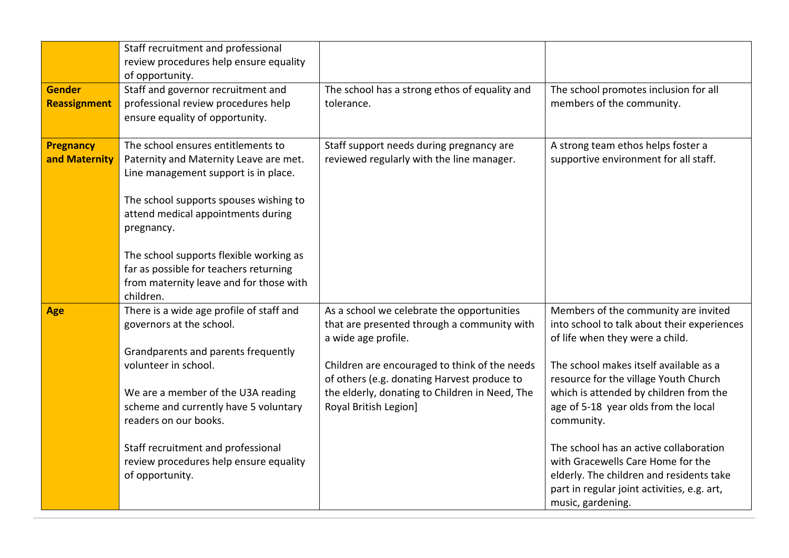|                                      | Staff recruitment and professional<br>review procedures help ensure equality                                                                                                                                                                                                                                                                                    |                                                                                                                                                                                                                                                                                             |                                                                                                                                                                                                                                                                                                                                                                                                                                                                                                          |
|--------------------------------------|-----------------------------------------------------------------------------------------------------------------------------------------------------------------------------------------------------------------------------------------------------------------------------------------------------------------------------------------------------------------|---------------------------------------------------------------------------------------------------------------------------------------------------------------------------------------------------------------------------------------------------------------------------------------------|----------------------------------------------------------------------------------------------------------------------------------------------------------------------------------------------------------------------------------------------------------------------------------------------------------------------------------------------------------------------------------------------------------------------------------------------------------------------------------------------------------|
| <b>Gender</b><br><b>Reassignment</b> | of opportunity.<br>Staff and governor recruitment and<br>professional review procedures help<br>ensure equality of opportunity.                                                                                                                                                                                                                                 | The school has a strong ethos of equality and<br>tolerance.                                                                                                                                                                                                                                 | The school promotes inclusion for all<br>members of the community.                                                                                                                                                                                                                                                                                                                                                                                                                                       |
| <b>Pregnancy</b><br>and Maternity    | The school ensures entitlements to<br>Paternity and Maternity Leave are met.<br>Line management support is in place.<br>The school supports spouses wishing to<br>attend medical appointments during<br>pregnancy.<br>The school supports flexible working as<br>far as possible for teachers returning<br>from maternity leave and for those with<br>children. | Staff support needs during pregnancy are<br>reviewed regularly with the line manager.                                                                                                                                                                                                       | A strong team ethos helps foster a<br>supportive environment for all staff.                                                                                                                                                                                                                                                                                                                                                                                                                              |
| Age                                  | There is a wide age profile of staff and<br>governors at the school.<br>Grandparents and parents frequently<br>volunteer in school.<br>We are a member of the U3A reading<br>scheme and currently have 5 voluntary<br>readers on our books.<br>Staff recruitment and professional<br>review procedures help ensure equality<br>of opportunity.                  | As a school we celebrate the opportunities<br>that are presented through a community with<br>a wide age profile.<br>Children are encouraged to think of the needs<br>of others (e.g. donating Harvest produce to<br>the elderly, donating to Children in Need, The<br>Royal British Legion] | Members of the community are invited<br>into school to talk about their experiences<br>of life when they were a child.<br>The school makes itself available as a<br>resource for the village Youth Church<br>which is attended by children from the<br>age of 5-18 year olds from the local<br>community.<br>The school has an active collaboration<br>with Gracewells Care Home for the<br>elderly. The children and residents take<br>part in regular joint activities, e.g. art,<br>music, gardening. |